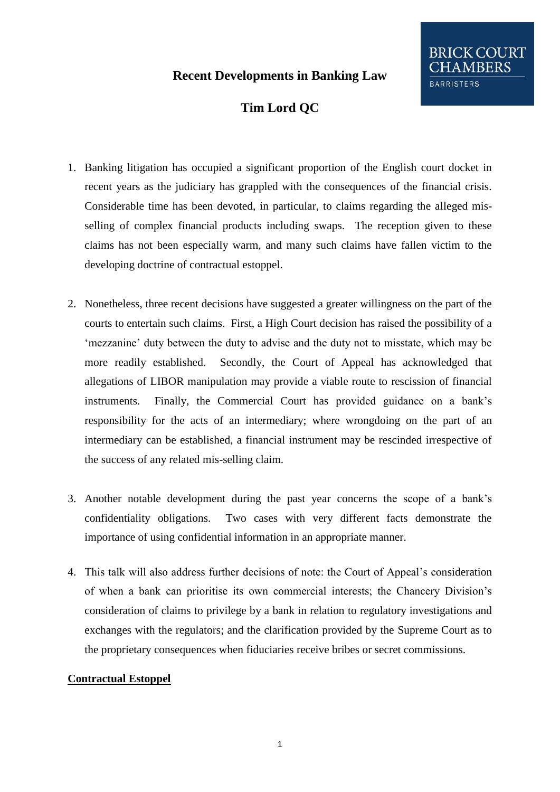## **Recent Developments in Banking Law**

# **Tim Lord QC**

- 1. Banking litigation has occupied a significant proportion of the English court docket in recent years as the judiciary has grappled with the consequences of the financial crisis. Considerable time has been devoted, in particular, to claims regarding the alleged misselling of complex financial products including swaps. The reception given to these claims has not been especially warm, and many such claims have fallen victim to the developing doctrine of contractual estoppel.
- 2. Nonetheless, three recent decisions have suggested a greater willingness on the part of the courts to entertain such claims. First, a High Court decision has raised the possibility of a "mezzanine" duty between the duty to advise and the duty not to misstate, which may be more readily established. Secondly, the Court of Appeal has acknowledged that allegations of LIBOR manipulation may provide a viable route to rescission of financial instruments. Finally, the Commercial Court has provided guidance on a bank"s responsibility for the acts of an intermediary; where wrongdoing on the part of an intermediary can be established, a financial instrument may be rescinded irrespective of the success of any related mis-selling claim.
- 3. Another notable development during the past year concerns the scope of a bank"s confidentiality obligations. Two cases with very different facts demonstrate the importance of using confidential information in an appropriate manner.
- 4. This talk will also address further decisions of note: the Court of Appeal"s consideration of when a bank can prioritise its own commercial interests; the Chancery Division"s consideration of claims to privilege by a bank in relation to regulatory investigations and exchanges with the regulators; and the clarification provided by the Supreme Court as to the proprietary consequences when fiduciaries receive bribes or secret commissions.

### **Contractual Estoppel**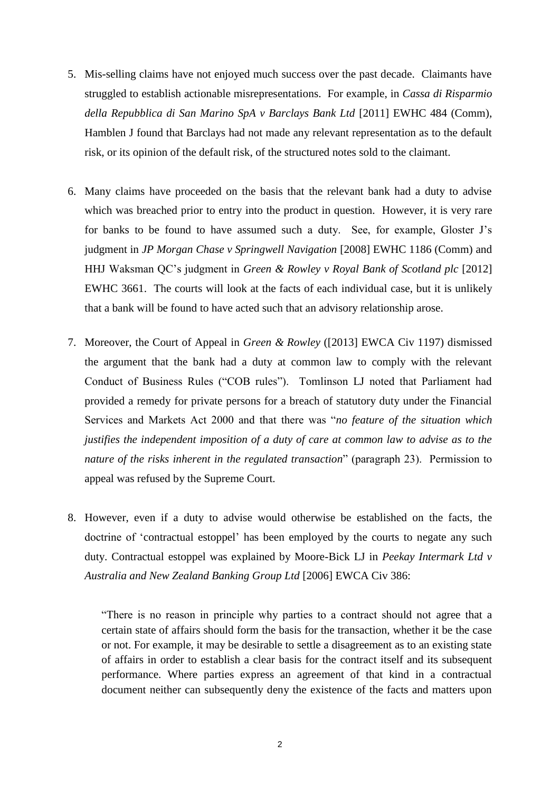- 5. Mis-selling claims have not enjoyed much success over the past decade. Claimants have struggled to establish actionable misrepresentations. For example, in *Cassa di Risparmio della Repubblica di San Marino SpA v Barclays Bank Ltd* [2011] EWHC 484 (Comm), Hamblen J found that Barclays had not made any relevant representation as to the default risk, or its opinion of the default risk, of the structured notes sold to the claimant.
- 6. Many claims have proceeded on the basis that the relevant bank had a duty to advise which was breached prior to entry into the product in question. However, it is very rare for banks to be found to have assumed such a duty. See, for example, Gloster J"s judgment in *JP Morgan Chase v Springwell Navigation* [2008] EWHC 1186 (Comm) and HHJ Waksman QC"s judgment in *Green & Rowley v Royal Bank of Scotland plc* [2012] EWHC 3661. The courts will look at the facts of each individual case, but it is unlikely that a bank will be found to have acted such that an advisory relationship arose.
- 7. Moreover, the Court of Appeal in *Green & Rowley* ([2013] EWCA Civ 1197) dismissed the argument that the bank had a duty at common law to comply with the relevant Conduct of Business Rules ("COB rules"). Tomlinson LJ noted that Parliament had provided a remedy for private persons for a breach of statutory duty under the Financial Services and Markets Act 2000 and that there was "*no feature of the situation which justifies the independent imposition of a duty of care at common law to advise as to the nature of the risks inherent in the regulated transaction*" (paragraph 23). Permission to appeal was refused by the Supreme Court.
- 8. However, even if a duty to advise would otherwise be established on the facts, the doctrine of "contractual estoppel" has been employed by the courts to negate any such duty. Contractual estoppel was explained by Moore-Bick LJ in *Peekay Intermark Ltd v Australia and New Zealand Banking Group Ltd* [2006] EWCA Civ 386:

"There is no reason in principle why parties to a contract should not agree that a certain state of affairs should form the basis for the transaction, whether it be the case or not. For example, it may be desirable to settle a disagreement as to an existing state of affairs in order to establish a clear basis for the contract itself and its subsequent performance. Where parties express an agreement of that kind in a contractual document neither can subsequently deny the existence of the facts and matters upon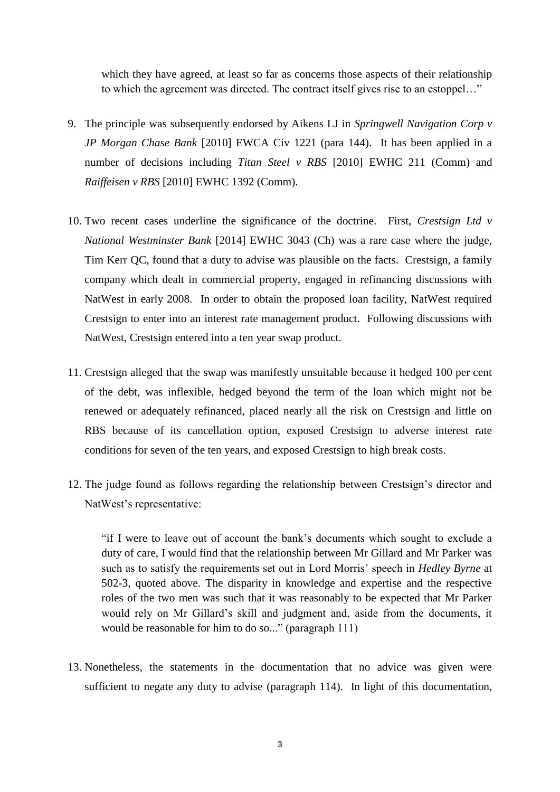which they have agreed, at least so far as concerns those aspects of their relationship to which the agreement was directed. The contract itself gives rise to an estoppel…"

- 9. The principle was subsequently endorsed by Aikens LJ in *Springwell Navigation Corp v JP Morgan Chase Bank* [2010] EWCA Civ 1221 (para 144). It has been applied in a number of decisions including *Titan Steel v RBS* [2010] EWHC 211 (Comm) and *Raiffeisen v RBS* [2010] EWHC 1392 (Comm).
- 10. Two recent cases underline the significance of the doctrine. First, *Crestsign Ltd v National Westminster Bank* [2014] EWHC 3043 (Ch) was a rare case where the judge, Tim Kerr QC, found that a duty to advise was plausible on the facts. Crestsign, a family company which dealt in commercial property, engaged in refinancing discussions with NatWest in early 2008. In order to obtain the proposed loan facility, NatWest required Crestsign to enter into an interest rate management product. Following discussions with NatWest, Crestsign entered into a ten year swap product.
- 11. Crestsign alleged that the swap was manifestly unsuitable because it hedged 100 per cent of the debt, was inflexible, hedged beyond the term of the loan which might not be renewed or adequately refinanced, placed nearly all the risk on Crestsign and little on RBS because of its cancellation option, exposed Crestsign to adverse interest rate conditions for seven of the ten years, and exposed Crestsign to high break costs.
- 12. The judge found as follows regarding the relationship between Crestsign"s director and NatWest's representative:

"if I were to leave out of account the bank"s documents which sought to exclude a duty of care, I would find that the relationship between Mr Gillard and Mr Parker was such as to satisfy the requirements set out in Lord Morris" speech in *Hedley Byrne* at 502-3, quoted above. The disparity in knowledge and expertise and the respective roles of the two men was such that it was reasonably to be expected that Mr Parker would rely on Mr Gillard"s skill and judgment and, aside from the documents, it would be reasonable for him to do so..." (paragraph 111)

13. Nonetheless, the statements in the documentation that no advice was given were sufficient to negate any duty to advise (paragraph 114). In light of this documentation,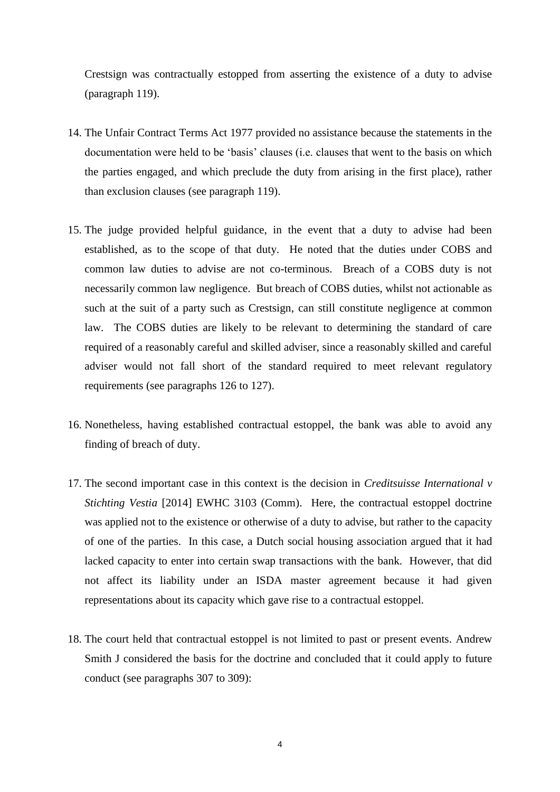Crestsign was contractually estopped from asserting the existence of a duty to advise (paragraph 119).

- 14. The Unfair Contract Terms Act 1977 provided no assistance because the statements in the documentation were held to be "basis" clauses (i.e. clauses that went to the basis on which the parties engaged, and which preclude the duty from arising in the first place), rather than exclusion clauses (see paragraph 119).
- 15. The judge provided helpful guidance, in the event that a duty to advise had been established, as to the scope of that duty. He noted that the duties under COBS and common law duties to advise are not co-terminous. Breach of a COBS duty is not necessarily common law negligence. But breach of COBS duties, whilst not actionable as such at the suit of a party such as Crestsign, can still constitute negligence at common law. The COBS duties are likely to be relevant to determining the standard of care required of a reasonably careful and skilled adviser, since a reasonably skilled and careful adviser would not fall short of the standard required to meet relevant regulatory requirements (see paragraphs 126 to 127).
- 16. Nonetheless, having established contractual estoppel, the bank was able to avoid any finding of breach of duty.
- 17. The second important case in this context is the decision in *Creditsuisse International v Stichting Vestia* [2014] EWHC 3103 (Comm). Here, the contractual estoppel doctrine was applied not to the existence or otherwise of a duty to advise, but rather to the capacity of one of the parties. In this case, a Dutch social housing association argued that it had lacked capacity to enter into certain swap transactions with the bank. However, that did not affect its liability under an ISDA master agreement because it had given representations about its capacity which gave rise to a contractual estoppel.
- 18. The court held that contractual estoppel is not limited to past or present events. Andrew Smith J considered the basis for the doctrine and concluded that it could apply to future conduct (see paragraphs 307 to 309):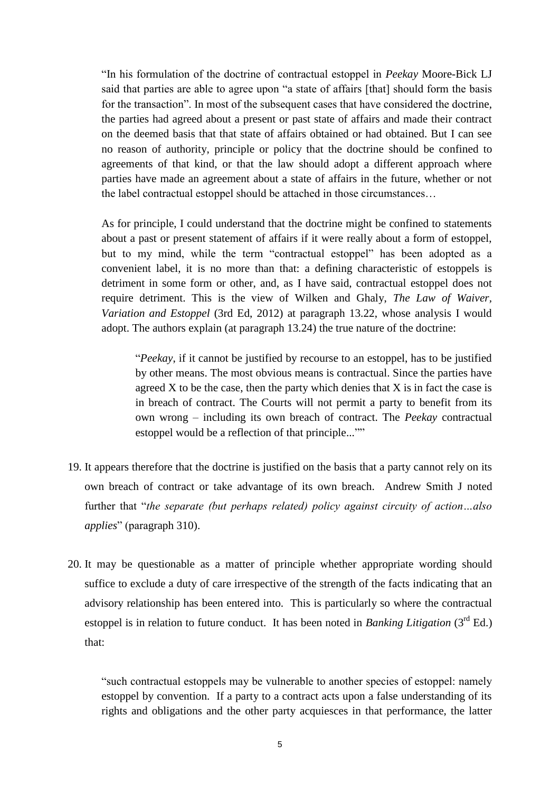"In his formulation of the doctrine of contractual estoppel in *Peekay* Moore-Bick LJ said that parties are able to agree upon "a state of affairs [that] should form the basis for the transaction". In most of the subsequent cases that have considered the doctrine, the parties had agreed about a present or past state of affairs and made their contract on the deemed basis that that state of affairs obtained or had obtained. But I can see no reason of authority, principle or policy that the doctrine should be confined to agreements of that kind, or that the law should adopt a different approach where parties have made an agreement about a state of affairs in the future, whether or not the label contractual estoppel should be attached in those circumstances…

As for principle, I could understand that the doctrine might be confined to statements about a past or present statement of affairs if it were really about a form of estoppel, but to my mind, while the term "contractual estoppel" has been adopted as a convenient label, it is no more than that: a defining characteristic of estoppels is detriment in some form or other, and, as I have said, contractual estoppel does not require detriment. This is the view of Wilken and Ghaly, *The Law of Waiver, Variation and Estoppel* (3rd Ed, 2012) at paragraph 13.22, whose analysis I would adopt. The authors explain (at paragraph 13.24) the true nature of the doctrine:

"*Peekay*, if it cannot be justified by recourse to an estoppel, has to be justified by other means. The most obvious means is contractual. Since the parties have agreed  $X$  to be the case, then the party which denies that  $X$  is in fact the case is in breach of contract. The Courts will not permit a party to benefit from its own wrong – including its own breach of contract. The *Peekay* contractual estoppel would be a reflection of that principle...""

- 19. It appears therefore that the doctrine is justified on the basis that a party cannot rely on its own breach of contract or take advantage of its own breach. Andrew Smith J noted further that "*the separate (but perhaps related) policy against circuity of action…also applies*" (paragraph 310).
- 20. It may be questionable as a matter of principle whether appropriate wording should suffice to exclude a duty of care irrespective of the strength of the facts indicating that an advisory relationship has been entered into. This is particularly so where the contractual estoppel is in relation to future conduct. It has been noted in *Banking Litigation*  $(3<sup>rd</sup> Ed.)$ that:

"such contractual estoppels may be vulnerable to another species of estoppel: namely estoppel by convention. If a party to a contract acts upon a false understanding of its rights and obligations and the other party acquiesces in that performance, the latter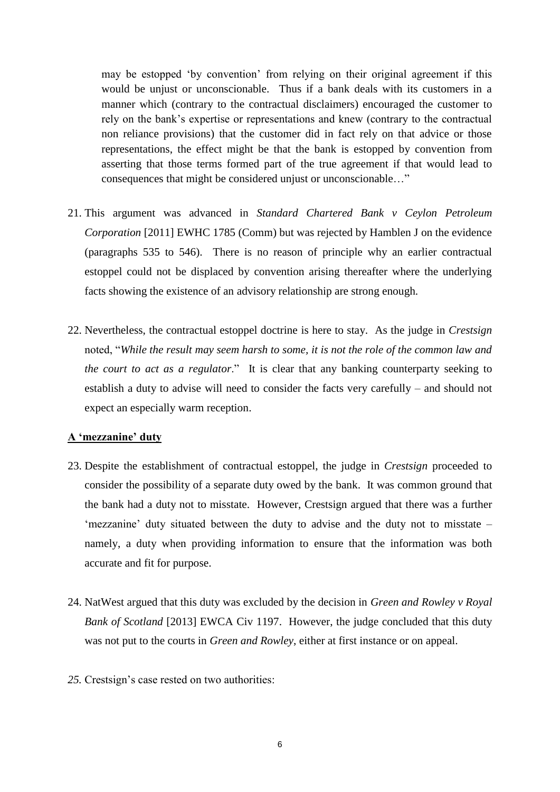may be estopped 'by convention' from relying on their original agreement if this would be unjust or unconscionable. Thus if a bank deals with its customers in a manner which (contrary to the contractual disclaimers) encouraged the customer to rely on the bank"s expertise or representations and knew (contrary to the contractual non reliance provisions) that the customer did in fact rely on that advice or those representations, the effect might be that the bank is estopped by convention from asserting that those terms formed part of the true agreement if that would lead to consequences that might be considered unjust or unconscionable…"

- 21. This argument was advanced in *Standard Chartered Bank v Ceylon Petroleum Corporation* [2011] EWHC 1785 (Comm) but was rejected by Hamblen J on the evidence (paragraphs 535 to 546). There is no reason of principle why an earlier contractual estoppel could not be displaced by convention arising thereafter where the underlying facts showing the existence of an advisory relationship are strong enough.
- 22. Nevertheless, the contractual estoppel doctrine is here to stay. As the judge in *Crestsign*  noted, "*While the result may seem harsh to some, it is not the role of the common law and the court to act as a regulator*." It is clear that any banking counterparty seeking to establish a duty to advise will need to consider the facts very carefully – and should not expect an especially warm reception.

#### **A 'mezzanine' duty**

- 23. Despite the establishment of contractual estoppel, the judge in *Crestsign* proceeded to consider the possibility of a separate duty owed by the bank. It was common ground that the bank had a duty not to misstate. However, Crestsign argued that there was a further "mezzanine" duty situated between the duty to advise and the duty not to misstate  $$ namely, a duty when providing information to ensure that the information was both accurate and fit for purpose.
- 24. NatWest argued that this duty was excluded by the decision in *Green and Rowley v Royal Bank of Scotland* [2013] EWCA Civ 1197. However, the judge concluded that this duty was not put to the courts in *Green and Rowley*, either at first instance or on appeal.
- *25.* Crestsign"s case rested on two authorities: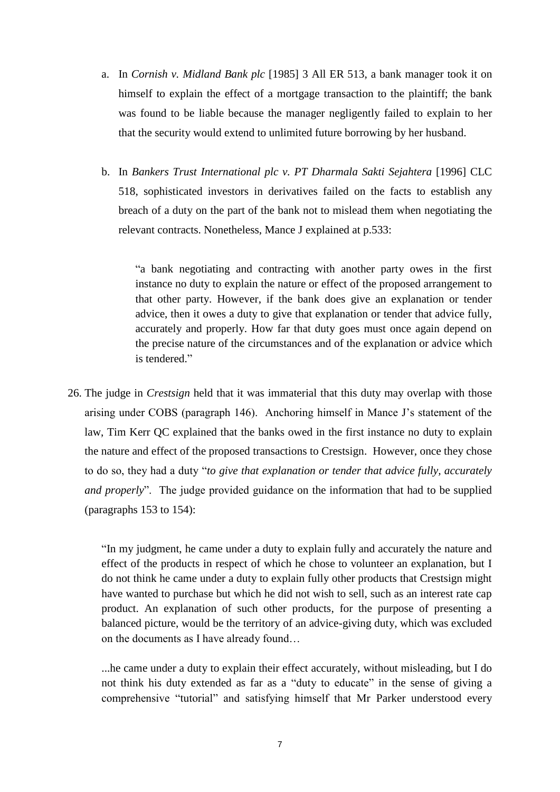- a. In *Cornish v. Midland Bank plc* [1985] 3 All ER 513, a bank manager took it on himself to explain the effect of a mortgage transaction to the plaintiff; the bank was found to be liable because the manager negligently failed to explain to her that the security would extend to unlimited future borrowing by her husband.
- b. In *Bankers Trust International plc v. PT Dharmala Sakti Sejahtera* [1996] CLC 518, sophisticated investors in derivatives failed on the facts to establish any breach of a duty on the part of the bank not to mislead them when negotiating the relevant contracts. Nonetheless, Mance J explained at p.533:

"a bank negotiating and contracting with another party owes in the first instance no duty to explain the nature or effect of the proposed arrangement to that other party. However, if the bank does give an explanation or tender advice, then it owes a duty to give that explanation or tender that advice fully, accurately and properly. How far that duty goes must once again depend on the precise nature of the circumstances and of the explanation or advice which is tendered."

26. The judge in *Crestsign* held that it was immaterial that this duty may overlap with those arising under COBS (paragraph 146). Anchoring himself in Mance J"s statement of the law, Tim Kerr QC explained that the banks owed in the first instance no duty to explain the nature and effect of the proposed transactions to Crestsign. However, once they chose to do so, they had a duty "*to give that explanation or tender that advice fully, accurately and properly*". The judge provided guidance on the information that had to be supplied (paragraphs 153 to 154):

"In my judgment, he came under a duty to explain fully and accurately the nature and effect of the products in respect of which he chose to volunteer an explanation, but I do not think he came under a duty to explain fully other products that Crestsign might have wanted to purchase but which he did not wish to sell, such as an interest rate cap product. An explanation of such other products, for the purpose of presenting a balanced picture, would be the territory of an advice-giving duty, which was excluded on the documents as I have already found…

...he came under a duty to explain their effect accurately, without misleading, but I do not think his duty extended as far as a "duty to educate" in the sense of giving a comprehensive "tutorial" and satisfying himself that Mr Parker understood every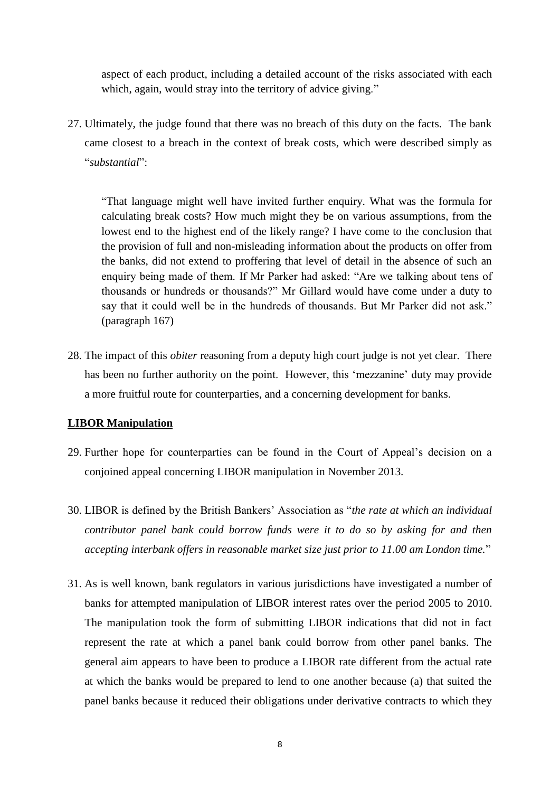aspect of each product, including a detailed account of the risks associated with each which, again, would stray into the territory of advice giving."

27. Ultimately, the judge found that there was no breach of this duty on the facts. The bank came closest to a breach in the context of break costs, which were described simply as "*substantial*":

"That language might well have invited further enquiry. What was the formula for calculating break costs? How much might they be on various assumptions, from the lowest end to the highest end of the likely range? I have come to the conclusion that the provision of full and non-misleading information about the products on offer from the banks, did not extend to proffering that level of detail in the absence of such an enquiry being made of them. If Mr Parker had asked: "Are we talking about tens of thousands or hundreds or thousands?" Mr Gillard would have come under a duty to say that it could well be in the hundreds of thousands. But Mr Parker did not ask." (paragraph 167)

28. The impact of this *obiter* reasoning from a deputy high court judge is not yet clear. There has been no further authority on the point. However, this 'mezzanine' duty may provide a more fruitful route for counterparties, and a concerning development for banks.

#### **LIBOR Manipulation**

- 29. Further hope for counterparties can be found in the Court of Appeal"s decision on a conjoined appeal concerning LIBOR manipulation in November 2013.
- 30. LIBOR is defined by the British Bankers" Association as "*the rate at which an individual contributor panel bank could borrow funds were it to do so by asking for and then accepting interbank offers in reasonable market size just prior to 11.00 am London time.*"
- 31. As is well known, bank regulators in various jurisdictions have investigated a number of banks for attempted manipulation of LIBOR interest rates over the period 2005 to 2010. The manipulation took the form of submitting LIBOR indications that did not in fact represent the rate at which a panel bank could borrow from other panel banks. The general aim appears to have been to produce a LIBOR rate different from the actual rate at which the banks would be prepared to lend to one another because (a) that suited the panel banks because it reduced their obligations under derivative contracts to which they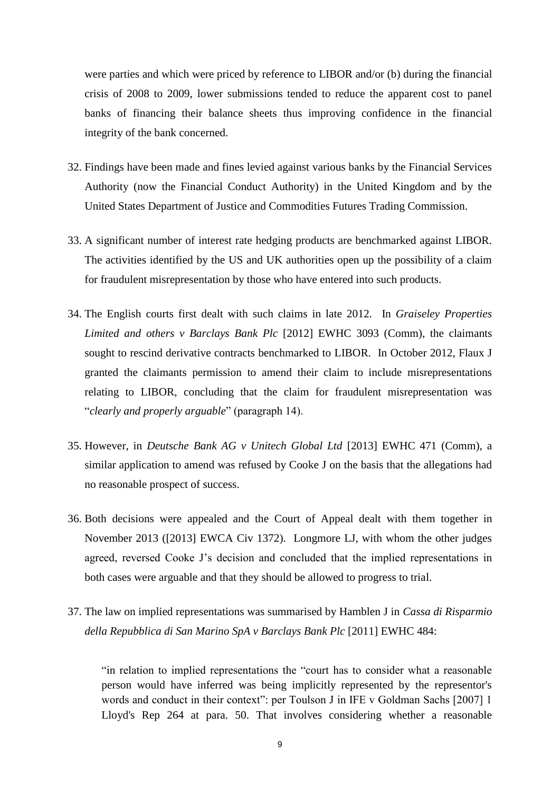were parties and which were priced by reference to LIBOR and/or (b) during the financial crisis of 2008 to 2009, lower submissions tended to reduce the apparent cost to panel banks of financing their balance sheets thus improving confidence in the financial integrity of the bank concerned.

- 32. Findings have been made and fines levied against various banks by the Financial Services Authority (now the Financial Conduct Authority) in the United Kingdom and by the United States Department of Justice and Commodities Futures Trading Commission.
- 33. A significant number of interest rate hedging products are benchmarked against LIBOR. The activities identified by the US and UK authorities open up the possibility of a claim for fraudulent misrepresentation by those who have entered into such products.
- 34. The English courts first dealt with such claims in late 2012. In *Graiseley Properties Limited and others v Barclays Bank Plc* [2012] EWHC 3093 (Comm), the claimants sought to rescind derivative contracts benchmarked to LIBOR. In October 2012, Flaux J granted the claimants permission to amend their claim to include misrepresentations relating to LIBOR, concluding that the claim for fraudulent misrepresentation was "*clearly and properly arguable*" (paragraph 14).
- 35. However, in *Deutsche Bank AG v Unitech Global Ltd* [2013] EWHC 471 (Comm), a similar application to amend was refused by Cooke J on the basis that the allegations had no reasonable prospect of success.
- 36. Both decisions were appealed and the Court of Appeal dealt with them together in November 2013 ([2013] EWCA Civ 1372). Longmore LJ, with whom the other judges agreed, reversed Cooke J"s decision and concluded that the implied representations in both cases were arguable and that they should be allowed to progress to trial.
- 37. The law on implied representations was summarised by Hamblen J in *Cassa di Risparmio della Repubblica di San Marino SpA v Barclays Bank Plc* [2011] EWHC 484:

"in relation to implied representations the "court has to consider what a reasonable person would have inferred was being implicitly represented by the representor's words and conduct in their context": per Toulson J in IFE v Goldman Sachs [2007] 1 Lloyd's Rep 264 at para. 50. That involves considering whether a reasonable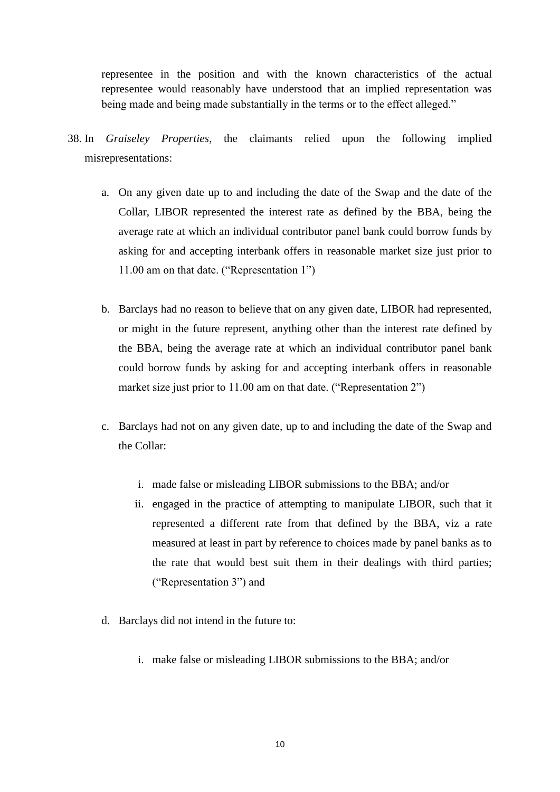representee in the position and with the known characteristics of the actual representee would reasonably have understood that an implied representation was being made and being made substantially in the terms or to the effect alleged."

- 38. In *Graiseley Properties*, the claimants relied upon the following implied misrepresentations:
	- a. On any given date up to and including the date of the Swap and the date of the Collar, LIBOR represented the interest rate as defined by the BBA, being the average rate at which an individual contributor panel bank could borrow funds by asking for and accepting interbank offers in reasonable market size just prior to 11.00 am on that date. ("Representation 1")
	- b. Barclays had no reason to believe that on any given date, LIBOR had represented, or might in the future represent, anything other than the interest rate defined by the BBA, being the average rate at which an individual contributor panel bank could borrow funds by asking for and accepting interbank offers in reasonable market size just prior to 11.00 am on that date. ("Representation 2")
	- c. Barclays had not on any given date, up to and including the date of the Swap and the Collar:
		- i. made false or misleading LIBOR submissions to the BBA; and/or
		- ii. engaged in the practice of attempting to manipulate LIBOR, such that it represented a different rate from that defined by the BBA, viz a rate measured at least in part by reference to choices made by panel banks as to the rate that would best suit them in their dealings with third parties; ("Representation 3") and
	- d. Barclays did not intend in the future to:
		- i. make false or misleading LIBOR submissions to the BBA; and/or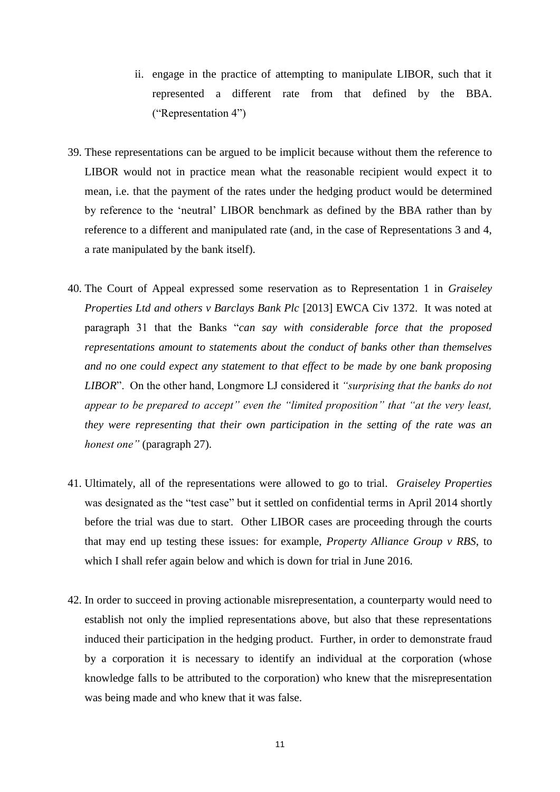- ii. engage in the practice of attempting to manipulate LIBOR, such that it represented a different rate from that defined by the BBA. ("Representation 4")
- 39. These representations can be argued to be implicit because without them the reference to LIBOR would not in practice mean what the reasonable recipient would expect it to mean, i.e. that the payment of the rates under the hedging product would be determined by reference to the "neutral" LIBOR benchmark as defined by the BBA rather than by reference to a different and manipulated rate (and, in the case of Representations 3 and 4, a rate manipulated by the bank itself).
- 40. The Court of Appeal expressed some reservation as to Representation 1 in *Graiseley Properties Ltd and others v Barclays Bank Plc* [2013] EWCA Civ 1372. It was noted at paragraph 31 that the Banks "*can say with considerable force that the proposed representations amount to statements about the conduct of banks other than themselves and no one could expect any statement to that effect to be made by one bank proposing LIBOR*". On the other hand, Longmore LJ considered it *"surprising that the banks do not appear to be prepared to accept" even the "limited proposition" that "at the very least, they were representing that their own participation in the setting of the rate was an honest one"* (paragraph 27).
- 41. Ultimately, all of the representations were allowed to go to trial. *Graiseley Properties*  was designated as the "test case" but it settled on confidential terms in April 2014 shortly before the trial was due to start. Other LIBOR cases are proceeding through the courts that may end up testing these issues: for example, *Property Alliance Group v RBS*, to which I shall refer again below and which is down for trial in June 2016.
- 42. In order to succeed in proving actionable misrepresentation, a counterparty would need to establish not only the implied representations above, but also that these representations induced their participation in the hedging product. Further, in order to demonstrate fraud by a corporation it is necessary to identify an individual at the corporation (whose knowledge falls to be attributed to the corporation) who knew that the misrepresentation was being made and who knew that it was false.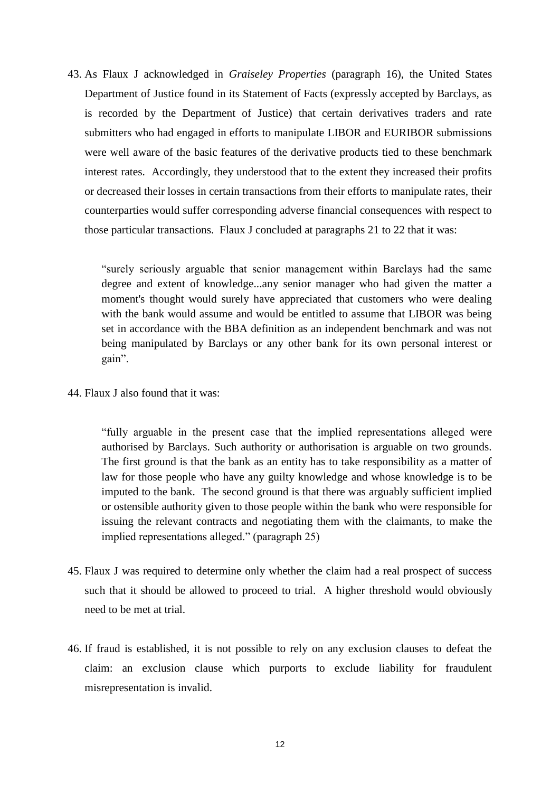43. As Flaux J acknowledged in *Graiseley Properties* (paragraph 16), the United States Department of Justice found in its Statement of Facts (expressly accepted by Barclays, as is recorded by the Department of Justice) that certain derivatives traders and rate submitters who had engaged in efforts to manipulate LIBOR and EURIBOR submissions were well aware of the basic features of the derivative products tied to these benchmark interest rates. Accordingly, they understood that to the extent they increased their profits or decreased their losses in certain transactions from their efforts to manipulate rates, their counterparties would suffer corresponding adverse financial consequences with respect to those particular transactions. Flaux J concluded at paragraphs 21 to 22 that it was:

"surely seriously arguable that senior management within Barclays had the same degree and extent of knowledge...any senior manager who had given the matter a moment's thought would surely have appreciated that customers who were dealing with the bank would assume and would be entitled to assume that LIBOR was being set in accordance with the BBA definition as an independent benchmark and was not being manipulated by Barclays or any other bank for its own personal interest or gain".

44. Flaux J also found that it was:

"fully arguable in the present case that the implied representations alleged were authorised by Barclays. Such authority or authorisation is arguable on two grounds. The first ground is that the bank as an entity has to take responsibility as a matter of law for those people who have any guilty knowledge and whose knowledge is to be imputed to the bank. The second ground is that there was arguably sufficient implied or ostensible authority given to those people within the bank who were responsible for issuing the relevant contracts and negotiating them with the claimants, to make the implied representations alleged." (paragraph 25)

- 45. Flaux J was required to determine only whether the claim had a real prospect of success such that it should be allowed to proceed to trial. A higher threshold would obviously need to be met at trial.
- 46. If fraud is established, it is not possible to rely on any exclusion clauses to defeat the claim: an exclusion clause which purports to exclude liability for fraudulent misrepresentation is invalid.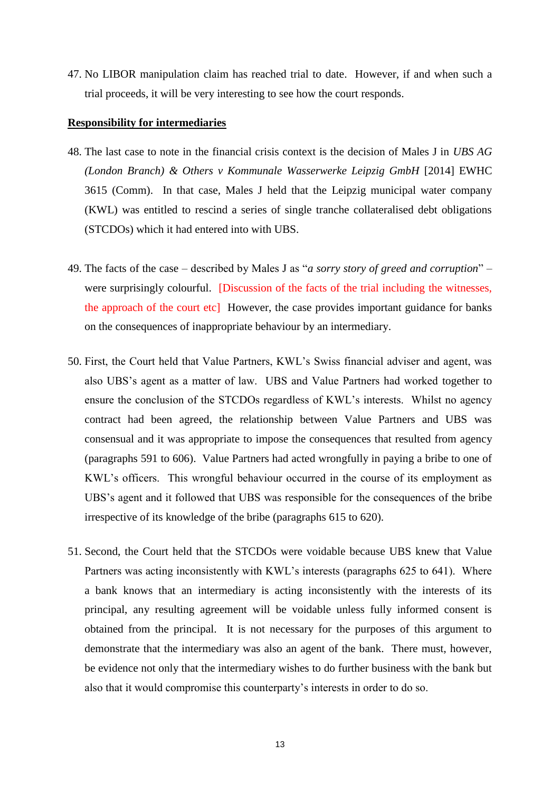47. No LIBOR manipulation claim has reached trial to date. However, if and when such a trial proceeds, it will be very interesting to see how the court responds.

#### **Responsibility for intermediaries**

- 48. The last case to note in the financial crisis context is the decision of Males J in *UBS AG (London Branch) & Others v Kommunale Wasserwerke Leipzig GmbH* [2014] EWHC 3615 (Comm). In that case, Males J held that the Leipzig municipal water company (KWL) was entitled to rescind a series of single tranche collateralised debt obligations (STCDOs) which it had entered into with UBS.
- 49. The facts of the case described by Males J as "*a sorry story of greed and corruption*" were surprisingly colourful. [Discussion of the facts of the trial including the witnesses, the approach of the court etc] However, the case provides important guidance for banks on the consequences of inappropriate behaviour by an intermediary.
- 50. First, the Court held that Value Partners, KWL"s Swiss financial adviser and agent, was also UBS"s agent as a matter of law. UBS and Value Partners had worked together to ensure the conclusion of the STCDOs regardless of KWL's interests. Whilst no agency contract had been agreed, the relationship between Value Partners and UBS was consensual and it was appropriate to impose the consequences that resulted from agency (paragraphs 591 to 606). Value Partners had acted wrongfully in paying a bribe to one of KWL's officers. This wrongful behaviour occurred in the course of its employment as UBS"s agent and it followed that UBS was responsible for the consequences of the bribe irrespective of its knowledge of the bribe (paragraphs 615 to 620).
- 51. Second, the Court held that the STCDOs were voidable because UBS knew that Value Partners was acting inconsistently with KWL's interests (paragraphs 625 to 641). Where a bank knows that an intermediary is acting inconsistently with the interests of its principal, any resulting agreement will be voidable unless fully informed consent is obtained from the principal. It is not necessary for the purposes of this argument to demonstrate that the intermediary was also an agent of the bank. There must, however, be evidence not only that the intermediary wishes to do further business with the bank but also that it would compromise this counterparty"s interests in order to do so.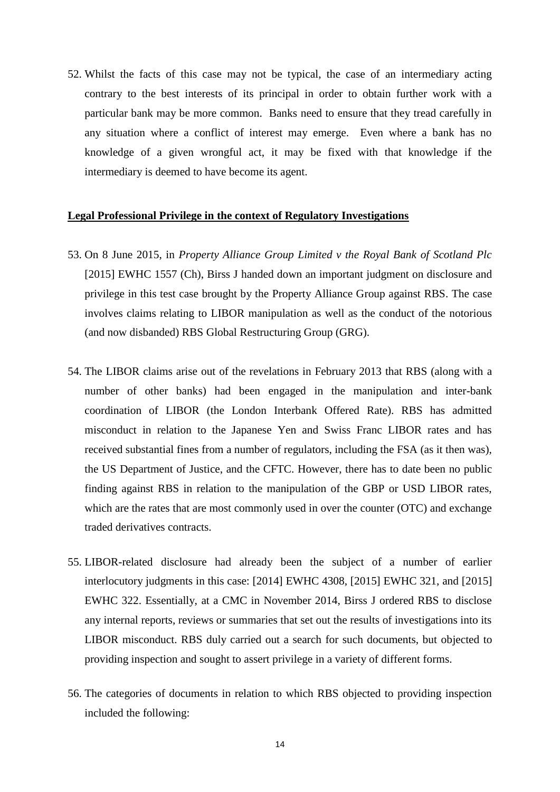52. Whilst the facts of this case may not be typical, the case of an intermediary acting contrary to the best interests of its principal in order to obtain further work with a particular bank may be more common. Banks need to ensure that they tread carefully in any situation where a conflict of interest may emerge. Even where a bank has no knowledge of a given wrongful act, it may be fixed with that knowledge if the intermediary is deemed to have become its agent.

#### **Legal Professional Privilege in the context of Regulatory Investigations**

- 53. On 8 June 2015, in *Property Alliance Group Limited v the Royal Bank of Scotland Plc* [2015] EWHC 1557 (Ch), Birss J handed down an important judgment on disclosure and privilege in this test case brought by the Property Alliance Group against RBS. The case involves claims relating to LIBOR manipulation as well as the conduct of the notorious (and now disbanded) RBS Global Restructuring Group (GRG).
- 54. The LIBOR claims arise out of the revelations in February 2013 that RBS (along with a number of other banks) had been engaged in the manipulation and inter-bank coordination of LIBOR (the London Interbank Offered Rate). RBS has admitted misconduct in relation to the Japanese Yen and Swiss Franc LIBOR rates and has received substantial fines from a number of regulators, including the FSA (as it then was), the US Department of Justice, and the CFTC. However, there has to date been no public finding against RBS in relation to the manipulation of the GBP or USD LIBOR rates, which are the rates that are most commonly used in over the counter (OTC) and exchange traded derivatives contracts.
- 55. LIBOR-related disclosure had already been the subject of a number of earlier interlocutory judgments in this case: [2014] EWHC 4308, [2015] EWHC 321, and [2015] EWHC 322. Essentially, at a CMC in November 2014, Birss J ordered RBS to disclose any internal reports, reviews or summaries that set out the results of investigations into its LIBOR misconduct. RBS duly carried out a search for such documents, but objected to providing inspection and sought to assert privilege in a variety of different forms.
- 56. The categories of documents in relation to which RBS objected to providing inspection included the following: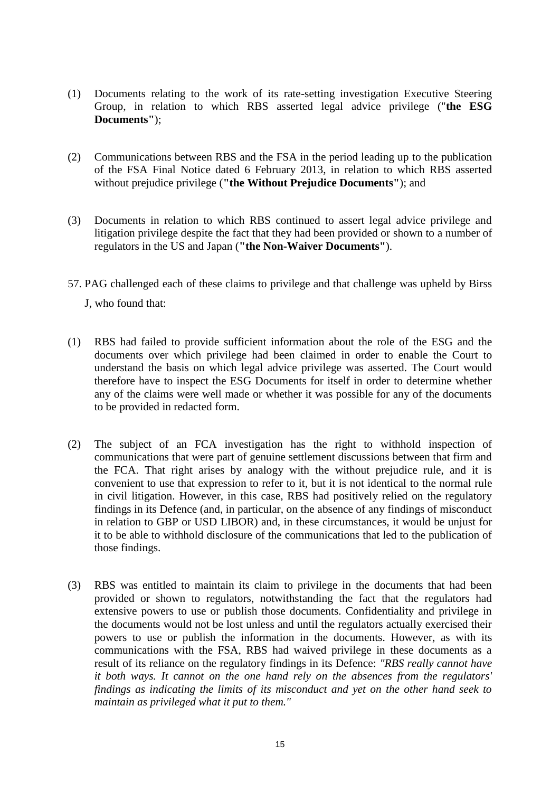- (1) Documents relating to the work of its rate-setting investigation Executive Steering Group, in relation to which RBS asserted legal advice privilege ("**the ESG Documents"**);
- (2) Communications between RBS and the FSA in the period leading up to the publication of the FSA Final Notice dated 6 February 2013, in relation to which RBS asserted without prejudice privilege (**"the Without Prejudice Documents"**); and
- (3) Documents in relation to which RBS continued to assert legal advice privilege and litigation privilege despite the fact that they had been provided or shown to a number of regulators in the US and Japan (**"the Non-Waiver Documents"**).
- 57. PAG challenged each of these claims to privilege and that challenge was upheld by Birss J, who found that:
- (1) RBS had failed to provide sufficient information about the role of the ESG and the documents over which privilege had been claimed in order to enable the Court to understand the basis on which legal advice privilege was asserted. The Court would therefore have to inspect the ESG Documents for itself in order to determine whether any of the claims were well made or whether it was possible for any of the documents to be provided in redacted form.
- (2) The subject of an FCA investigation has the right to withhold inspection of communications that were part of genuine settlement discussions between that firm and the FCA. That right arises by analogy with the without prejudice rule, and it is convenient to use that expression to refer to it, but it is not identical to the normal rule in civil litigation. However, in this case, RBS had positively relied on the regulatory findings in its Defence (and, in particular, on the absence of any findings of misconduct in relation to GBP or USD LIBOR) and, in these circumstances, it would be unjust for it to be able to withhold disclosure of the communications that led to the publication of those findings.
- (3) RBS was entitled to maintain its claim to privilege in the documents that had been provided or shown to regulators, notwithstanding the fact that the regulators had extensive powers to use or publish those documents. Confidentiality and privilege in the documents would not be lost unless and until the regulators actually exercised their powers to use or publish the information in the documents. However, as with its communications with the FSA, RBS had waived privilege in these documents as a result of its reliance on the regulatory findings in its Defence: *"RBS really cannot have it both ways. It cannot on the one hand rely on the absences from the regulators' findings as indicating the limits of its misconduct and yet on the other hand seek to maintain as privileged what it put to them."*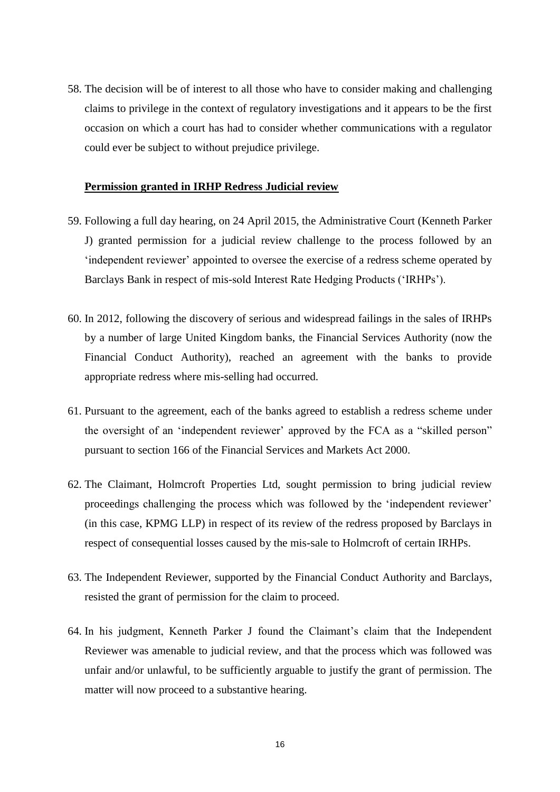58. The decision will be of interest to all those who have to consider making and challenging claims to privilege in the context of regulatory investigations and it appears to be the first occasion on which a court has had to consider whether communications with a regulator could ever be subject to without prejudice privilege.

#### **Permission granted in IRHP Redress Judicial review**

- 59. Following a full day hearing, on 24 April 2015, the Administrative Court (Kenneth Parker J) granted permission for a judicial review challenge to the process followed by an "independent reviewer" appointed to oversee the exercise of a redress scheme operated by Barclays Bank in respect of mis-sold Interest Rate Hedging Products ("IRHPs").
- 60. In 2012, following the discovery of serious and widespread failings in the sales of IRHPs by a number of large United Kingdom banks, the Financial Services Authority (now the Financial Conduct Authority), reached an agreement with the banks to provide appropriate redress where mis-selling had occurred.
- 61. Pursuant to the agreement, each of the banks agreed to establish a redress scheme under the oversight of an 'independent reviewer' approved by the FCA as a "skilled person" pursuant to section 166 of the Financial Services and Markets Act 2000.
- 62. The Claimant, Holmcroft Properties Ltd, sought permission to bring judicial review proceedings challenging the process which was followed by the "independent reviewer" (in this case, KPMG LLP) in respect of its review of the redress proposed by Barclays in respect of consequential losses caused by the mis-sale to Holmcroft of certain IRHPs.
- 63. The Independent Reviewer, supported by the Financial Conduct Authority and Barclays, resisted the grant of permission for the claim to proceed.
- 64. In his judgment, Kenneth Parker J found the Claimant"s claim that the Independent Reviewer was amenable to judicial review, and that the process which was followed was unfair and/or unlawful, to be sufficiently arguable to justify the grant of permission. The matter will now proceed to a substantive hearing.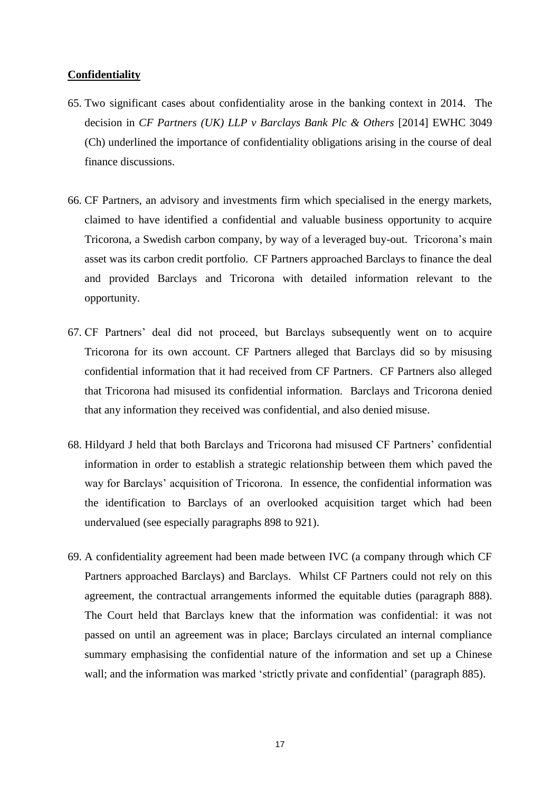#### **Confidentiality**

- 65. Two significant cases about confidentiality arose in the banking context in 2014. The decision in *CF Partners (UK) LLP v Barclays Bank Plc & Others* [2014] EWHC 3049 (Ch) underlined the importance of confidentiality obligations arising in the course of deal finance discussions.
- 66. CF Partners, an advisory and investments firm which specialised in the energy markets, claimed to have identified a confidential and valuable business opportunity to acquire Tricorona, a Swedish carbon company, by way of a leveraged buy-out. Tricorona"s main asset was its carbon credit portfolio. CF Partners approached Barclays to finance the deal and provided Barclays and Tricorona with detailed information relevant to the opportunity.
- 67. CF Partners" deal did not proceed, but Barclays subsequently went on to acquire Tricorona for its own account. CF Partners alleged that Barclays did so by misusing confidential information that it had received from CF Partners. CF Partners also alleged that Tricorona had misused its confidential information. Barclays and Tricorona denied that any information they received was confidential, and also denied misuse.
- 68. Hildyard J held that both Barclays and Tricorona had misused CF Partners" confidential information in order to establish a strategic relationship between them which paved the way for Barclays" acquisition of Tricorona. In essence, the confidential information was the identification to Barclays of an overlooked acquisition target which had been undervalued (see especially paragraphs 898 to 921).
- 69. A confidentiality agreement had been made between IVC (a company through which CF Partners approached Barclays) and Barclays. Whilst CF Partners could not rely on this agreement, the contractual arrangements informed the equitable duties (paragraph 888). The Court held that Barclays knew that the information was confidential: it was not passed on until an agreement was in place; Barclays circulated an internal compliance summary emphasising the confidential nature of the information and set up a Chinese wall; and the information was marked 'strictly private and confidential' (paragraph 885).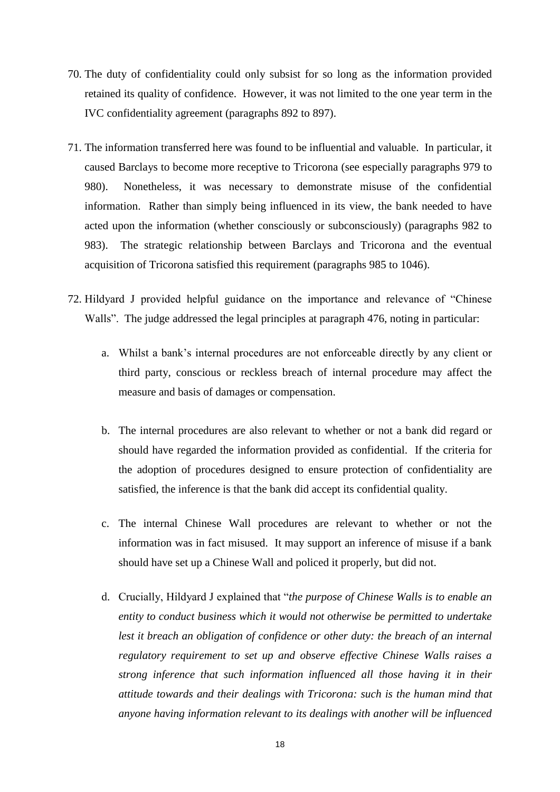- 70. The duty of confidentiality could only subsist for so long as the information provided retained its quality of confidence. However, it was not limited to the one year term in the IVC confidentiality agreement (paragraphs 892 to 897).
- 71. The information transferred here was found to be influential and valuable. In particular, it caused Barclays to become more receptive to Tricorona (see especially paragraphs 979 to 980). Nonetheless, it was necessary to demonstrate misuse of the confidential information. Rather than simply being influenced in its view, the bank needed to have acted upon the information (whether consciously or subconsciously) (paragraphs 982 to 983). The strategic relationship between Barclays and Tricorona and the eventual acquisition of Tricorona satisfied this requirement (paragraphs 985 to 1046).
- 72. Hildyard J provided helpful guidance on the importance and relevance of "Chinese Walls". The judge addressed the legal principles at paragraph 476, noting in particular:
	- a. Whilst a bank"s internal procedures are not enforceable directly by any client or third party, conscious or reckless breach of internal procedure may affect the measure and basis of damages or compensation.
	- b. The internal procedures are also relevant to whether or not a bank did regard or should have regarded the information provided as confidential. If the criteria for the adoption of procedures designed to ensure protection of confidentiality are satisfied, the inference is that the bank did accept its confidential quality.
	- c. The internal Chinese Wall procedures are relevant to whether or not the information was in fact misused. It may support an inference of misuse if a bank should have set up a Chinese Wall and policed it properly, but did not.
	- d. Crucially, Hildyard J explained that "*the purpose of Chinese Walls is to enable an entity to conduct business which it would not otherwise be permitted to undertake lest it breach an obligation of confidence or other duty: the breach of an internal regulatory requirement to set up and observe effective Chinese Walls raises a strong inference that such information influenced all those having it in their attitude towards and their dealings with Tricorona: such is the human mind that anyone having information relevant to its dealings with another will be influenced*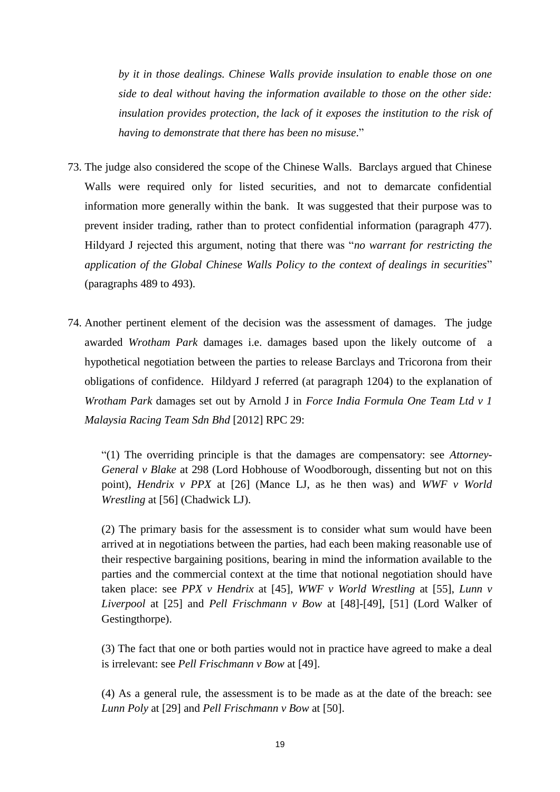*by it in those dealings. Chinese Walls provide insulation to enable those on one side to deal without having the information available to those on the other side: insulation provides protection, the lack of it exposes the institution to the risk of having to demonstrate that there has been no misuse*."

- 73. The judge also considered the scope of the Chinese Walls. Barclays argued that Chinese Walls were required only for listed securities, and not to demarcate confidential information more generally within the bank. It was suggested that their purpose was to prevent insider trading, rather than to protect confidential information (paragraph 477). Hildyard J rejected this argument, noting that there was "*no warrant for restricting the application of the Global Chinese Walls Policy to the context of dealings in securities*" (paragraphs 489 to 493).
- 74. Another pertinent element of the decision was the assessment of damages. The judge awarded *Wrotham Park* damages i.e. damages based upon the likely outcome of a hypothetical negotiation between the parties to release Barclays and Tricorona from their obligations of confidence. Hildyard J referred (at paragraph 1204) to the explanation of *Wrotham Park* damages set out by Arnold J in *Force India Formula One Team Ltd v 1 Malaysia Racing Team Sdn Bhd* [2012] RPC 29:

"(1) The overriding principle is that the damages are compensatory: see *Attorney-General v Blake* at 298 (Lord Hobhouse of Woodborough, dissenting but not on this point), *Hendrix v PPX* at [26] (Mance LJ, as he then was) and *WWF v World Wrestling* at [56] (Chadwick LJ).

(2) The primary basis for the assessment is to consider what sum would have been arrived at in negotiations between the parties, had each been making reasonable use of their respective bargaining positions, bearing in mind the information available to the parties and the commercial context at the time that notional negotiation should have taken place: see *PPX v Hendrix* at [45], *WWF v World Wrestling* at [55], *Lunn v Liverpool* at [25] and *Pell Frischmann v Bow* at [48]-[49], [51] (Lord Walker of Gestingthorpe).

(3) The fact that one or both parties would not in practice have agreed to make a deal is irrelevant: see *Pell Frischmann v Bow* at [49].

(4) As a general rule, the assessment is to be made as at the date of the breach: see *Lunn Poly* at [29] and *Pell Frischmann v Bow* at [50].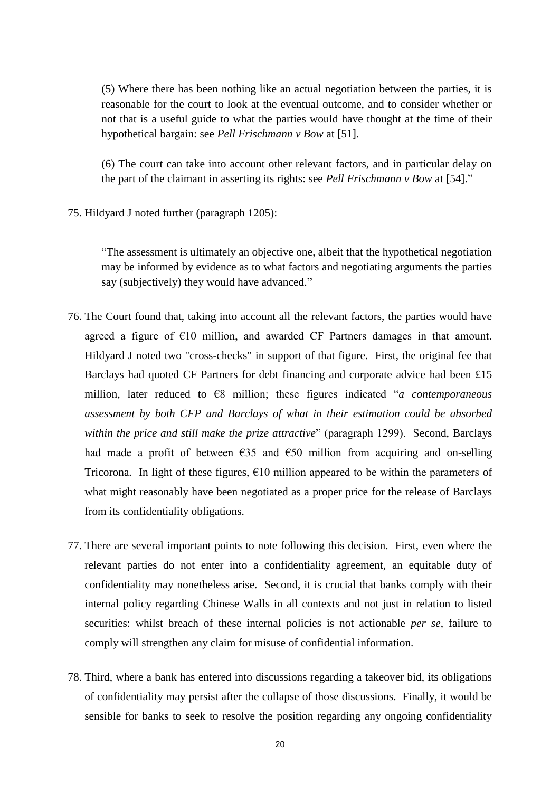(5) Where there has been nothing like an actual negotiation between the parties, it is reasonable for the court to look at the eventual outcome, and to consider whether or not that is a useful guide to what the parties would have thought at the time of their hypothetical bargain: see *Pell Frischmann v Bow* at [51].

(6) The court can take into account other relevant factors, and in particular delay on the part of the claimant in asserting its rights: see *Pell Frischmann v Bow* at [54]."

75. Hildyard J noted further (paragraph 1205):

"The assessment is ultimately an objective one, albeit that the hypothetical negotiation may be informed by evidence as to what factors and negotiating arguments the parties say (subjectively) they would have advanced."

- 76. The Court found that, taking into account all the relevant factors, the parties would have agreed a figure of  $E10$  million, and awarded CF Partners damages in that amount. Hildyard J noted two "cross-checks" in support of that figure. First, the original fee that Barclays had quoted CF Partners for debt financing and corporate advice had been £15 million, later reduced to €8 million; these figures indicated "*a contemporaneous assessment by both CFP and Barclays of what in their estimation could be absorbed within the price and still make the prize attractive*" (paragraph 1299). Second, Barclays had made a profit of between  $\epsilon$ 35 and  $\epsilon$ 50 million from acquiring and on-selling Tricorona. In light of these figures,  $\epsilon$ 10 million appeared to be within the parameters of what might reasonably have been negotiated as a proper price for the release of Barclays from its confidentiality obligations.
- 77. There are several important points to note following this decision. First, even where the relevant parties do not enter into a confidentiality agreement, an equitable duty of confidentiality may nonetheless arise. Second, it is crucial that banks comply with their internal policy regarding Chinese Walls in all contexts and not just in relation to listed securities: whilst breach of these internal policies is not actionable *per se*, failure to comply will strengthen any claim for misuse of confidential information.
- 78. Third, where a bank has entered into discussions regarding a takeover bid, its obligations of confidentiality may persist after the collapse of those discussions. Finally, it would be sensible for banks to seek to resolve the position regarding any ongoing confidentiality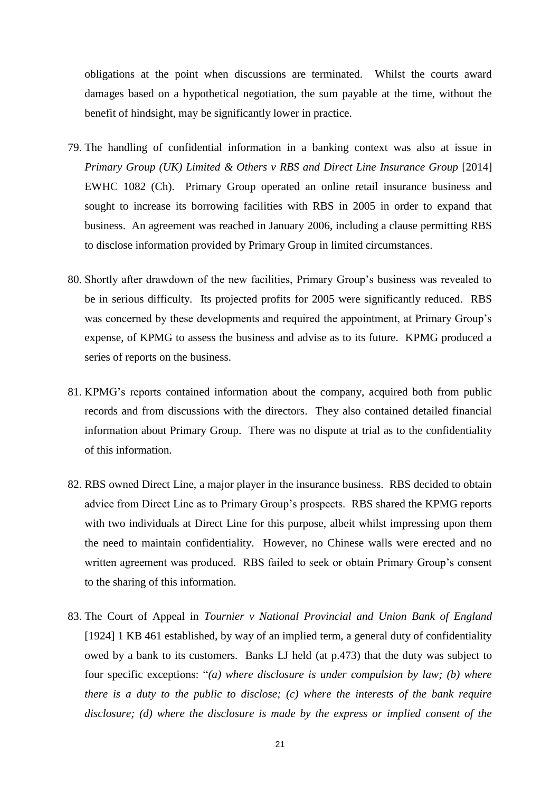obligations at the point when discussions are terminated. Whilst the courts award damages based on a hypothetical negotiation, the sum payable at the time, without the benefit of hindsight, may be significantly lower in practice.

- 79. The handling of confidential information in a banking context was also at issue in *Primary Group (UK) Limited & Others v RBS and Direct Line Insurance Group* [2014] EWHC 1082 (Ch). Primary Group operated an online retail insurance business and sought to increase its borrowing facilities with RBS in 2005 in order to expand that business. An agreement was reached in January 2006, including a clause permitting RBS to disclose information provided by Primary Group in limited circumstances.
- 80. Shortly after drawdown of the new facilities, Primary Group"s business was revealed to be in serious difficulty. Its projected profits for 2005 were significantly reduced. RBS was concerned by these developments and required the appointment, at Primary Group"s expense, of KPMG to assess the business and advise as to its future. KPMG produced a series of reports on the business.
- 81. KPMG"s reports contained information about the company, acquired both from public records and from discussions with the directors. They also contained detailed financial information about Primary Group. There was no dispute at trial as to the confidentiality of this information.
- 82. RBS owned Direct Line, a major player in the insurance business. RBS decided to obtain advice from Direct Line as to Primary Group"s prospects. RBS shared the KPMG reports with two individuals at Direct Line for this purpose, albeit whilst impressing upon them the need to maintain confidentiality. However, no Chinese walls were erected and no written agreement was produced. RBS failed to seek or obtain Primary Group"s consent to the sharing of this information.
- 83. The Court of Appeal in *Tournier v National Provincial and Union Bank of England*  [1924] 1 KB 461 established, by way of an implied term, a general duty of confidentiality owed by a bank to its customers. Banks LJ held (at p.473) that the duty was subject to four specific exceptions: "*(a) where disclosure is under compulsion by law; (b) where there is a duty to the public to disclose; (c) where the interests of the bank require disclosure; (d) where the disclosure is made by the express or implied consent of the*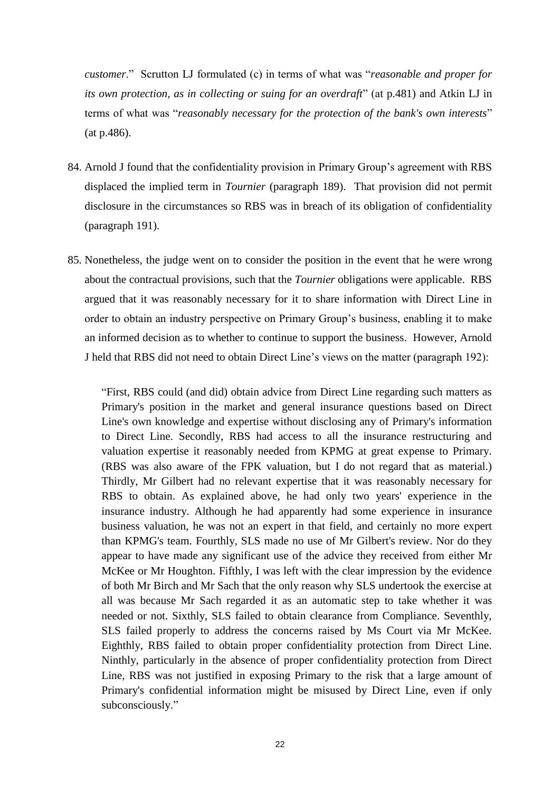*customer*." Scrutton LJ formulated (c) in terms of what was "*reasonable and proper for its own protection, as in collecting or suing for an overdraft*" (at p.481) and Atkin LJ in terms of what was "*reasonably necessary for the protection of the bank's own interests*" (at p.486).

- 84. Arnold J found that the confidentiality provision in Primary Group's agreement with RBS displaced the implied term in *Tournier* (paragraph 189). That provision did not permit disclosure in the circumstances so RBS was in breach of its obligation of confidentiality (paragraph 191).
- 85. Nonetheless, the judge went on to consider the position in the event that he were wrong about the contractual provisions, such that the *Tournier* obligations were applicable. RBS argued that it was reasonably necessary for it to share information with Direct Line in order to obtain an industry perspective on Primary Group"s business, enabling it to make an informed decision as to whether to continue to support the business. However, Arnold J held that RBS did not need to obtain Direct Line"s views on the matter (paragraph 192):

"First, RBS could (and did) obtain advice from Direct Line regarding such matters as Primary's position in the market and general insurance questions based on Direct Line's own knowledge and expertise without disclosing any of Primary's information to Direct Line. Secondly, RBS had access to all the insurance restructuring and valuation expertise it reasonably needed from KPMG at great expense to Primary. (RBS was also aware of the FPK valuation, but I do not regard that as material.) Thirdly, Mr Gilbert had no relevant expertise that it was reasonably necessary for RBS to obtain. As explained above, he had only two years' experience in the insurance industry. Although he had apparently had some experience in insurance business valuation, he was not an expert in that field, and certainly no more expert than KPMG's team. Fourthly, SLS made no use of Mr Gilbert's review. Nor do they appear to have made any significant use of the advice they received from either Mr McKee or Mr Houghton. Fifthly, I was left with the clear impression by the evidence of both Mr Birch and Mr Sach that the only reason why SLS undertook the exercise at all was because Mr Sach regarded it as an automatic step to take whether it was needed or not. Sixthly, SLS failed to obtain clearance from Compliance. Seventhly, SLS failed properly to address the concerns raised by Ms Court via Mr McKee. Eighthly, RBS failed to obtain proper confidentiality protection from Direct Line. Ninthly, particularly in the absence of proper confidentiality protection from Direct Line, RBS was not justified in exposing Primary to the risk that a large amount of Primary's confidential information might be misused by Direct Line, even if only subconsciously."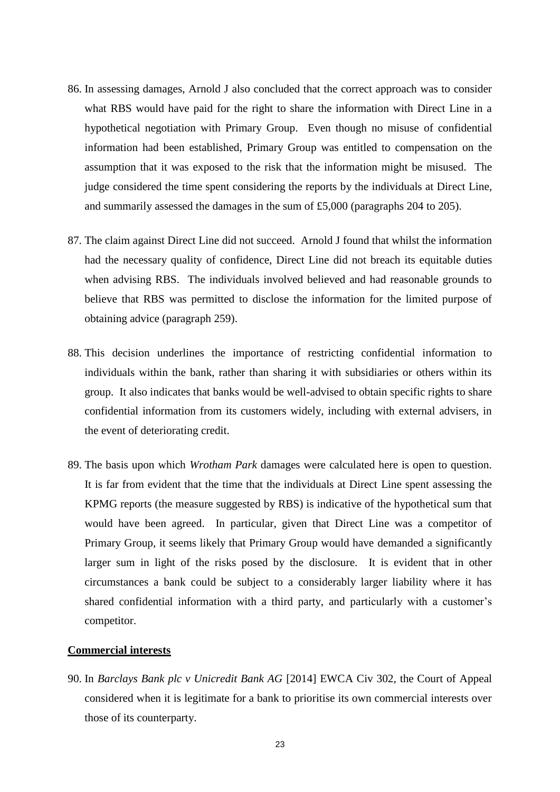- 86. In assessing damages, Arnold J also concluded that the correct approach was to consider what RBS would have paid for the right to share the information with Direct Line in a hypothetical negotiation with Primary Group. Even though no misuse of confidential information had been established, Primary Group was entitled to compensation on the assumption that it was exposed to the risk that the information might be misused. The judge considered the time spent considering the reports by the individuals at Direct Line, and summarily assessed the damages in the sum of £5,000 (paragraphs 204 to 205).
- 87. The claim against Direct Line did not succeed. Arnold J found that whilst the information had the necessary quality of confidence, Direct Line did not breach its equitable duties when advising RBS. The individuals involved believed and had reasonable grounds to believe that RBS was permitted to disclose the information for the limited purpose of obtaining advice (paragraph 259).
- 88. This decision underlines the importance of restricting confidential information to individuals within the bank, rather than sharing it with subsidiaries or others within its group. It also indicates that banks would be well-advised to obtain specific rights to share confidential information from its customers widely, including with external advisers, in the event of deteriorating credit.
- 89. The basis upon which *Wrotham Park* damages were calculated here is open to question. It is far from evident that the time that the individuals at Direct Line spent assessing the KPMG reports (the measure suggested by RBS) is indicative of the hypothetical sum that would have been agreed. In particular, given that Direct Line was a competitor of Primary Group, it seems likely that Primary Group would have demanded a significantly larger sum in light of the risks posed by the disclosure. It is evident that in other circumstances a bank could be subject to a considerably larger liability where it has shared confidential information with a third party, and particularly with a customer's competitor.

#### **Commercial interests**

90. In *Barclays Bank plc v Unicredit Bank AG* [2014] EWCA Civ 302, the Court of Appeal considered when it is legitimate for a bank to prioritise its own commercial interests over those of its counterparty.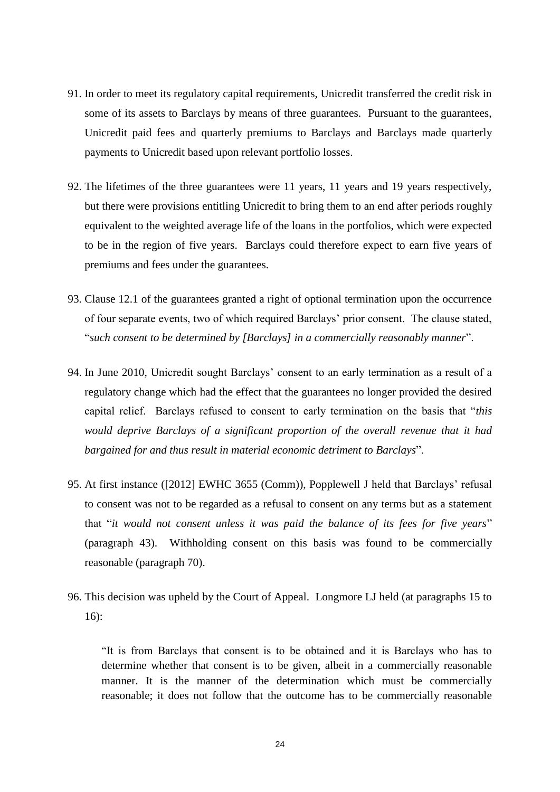- 91. In order to meet its regulatory capital requirements, Unicredit transferred the credit risk in some of its assets to Barclays by means of three guarantees. Pursuant to the guarantees, Unicredit paid fees and quarterly premiums to Barclays and Barclays made quarterly payments to Unicredit based upon relevant portfolio losses.
- 92. The lifetimes of the three guarantees were 11 years, 11 years and 19 years respectively, but there were provisions entitling Unicredit to bring them to an end after periods roughly equivalent to the weighted average life of the loans in the portfolios, which were expected to be in the region of five years. Barclays could therefore expect to earn five years of premiums and fees under the guarantees.
- 93. Clause 12.1 of the guarantees granted a right of optional termination upon the occurrence of four separate events, two of which required Barclays" prior consent. The clause stated, "*such consent to be determined by [Barclays] in a commercially reasonably manner*".
- 94. In June 2010, Unicredit sought Barclays" consent to an early termination as a result of a regulatory change which had the effect that the guarantees no longer provided the desired capital relief. Barclays refused to consent to early termination on the basis that "*this would deprive Barclays of a significant proportion of the overall revenue that it had bargained for and thus result in material economic detriment to Barclays*".
- 95. At first instance ([2012] EWHC 3655 (Comm)), Popplewell J held that Barclays" refusal to consent was not to be regarded as a refusal to consent on any terms but as a statement that "*it would not consent unless it was paid the balance of its fees for five years*" (paragraph 43). Withholding consent on this basis was found to be commercially reasonable (paragraph 70).
- 96. This decision was upheld by the Court of Appeal. Longmore LJ held (at paragraphs 15 to 16):

"It is from Barclays that consent is to be obtained and it is Barclays who has to determine whether that consent is to be given, albeit in a commercially reasonable manner. It is the manner of the determination which must be commercially reasonable; it does not follow that the outcome has to be commercially reasonable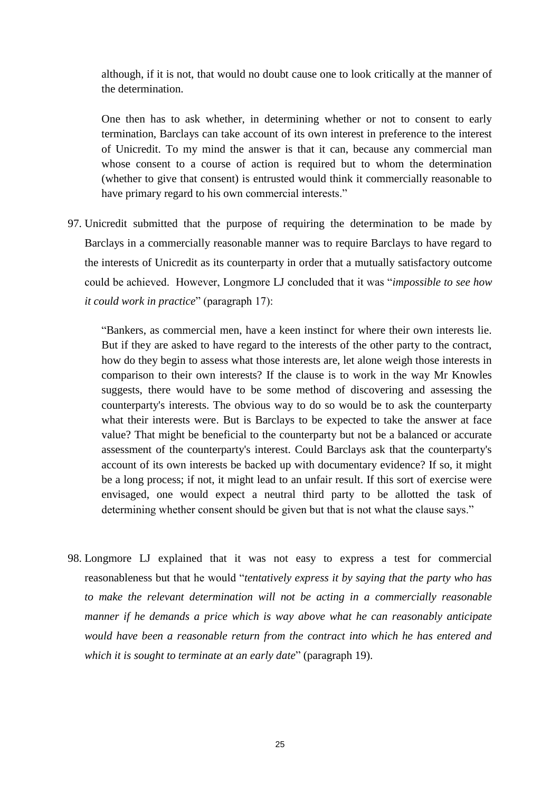although, if it is not, that would no doubt cause one to look critically at the manner of the determination.

One then has to ask whether, in determining whether or not to consent to early termination, Barclays can take account of its own interest in preference to the interest of Unicredit. To my mind the answer is that it can, because any commercial man whose consent to a course of action is required but to whom the determination (whether to give that consent) is entrusted would think it commercially reasonable to have primary regard to his own commercial interests."

97. Unicredit submitted that the purpose of requiring the determination to be made by Barclays in a commercially reasonable manner was to require Barclays to have regard to the interests of Unicredit as its counterparty in order that a mutually satisfactory outcome could be achieved. However, Longmore LJ concluded that it was "*impossible to see how it could work in practice*" (paragraph 17):

"Bankers, as commercial men, have a keen instinct for where their own interests lie. But if they are asked to have regard to the interests of the other party to the contract, how do they begin to assess what those interests are, let alone weigh those interests in comparison to their own interests? If the clause is to work in the way Mr Knowles suggests, there would have to be some method of discovering and assessing the counterparty's interests. The obvious way to do so would be to ask the counterparty what their interests were. But is Barclays to be expected to take the answer at face value? That might be beneficial to the counterparty but not be a balanced or accurate assessment of the counterparty's interest. Could Barclays ask that the counterparty's account of its own interests be backed up with documentary evidence? If so, it might be a long process; if not, it might lead to an unfair result. If this sort of exercise were envisaged, one would expect a neutral third party to be allotted the task of determining whether consent should be given but that is not what the clause says."

98. Longmore LJ explained that it was not easy to express a test for commercial reasonableness but that he would "*tentatively express it by saying that the party who has to make the relevant determination will not be acting in a commercially reasonable manner if he demands a price which is way above what he can reasonably anticipate would have been a reasonable return from the contract into which he has entered and which it is sought to terminate at an early date*" (paragraph 19).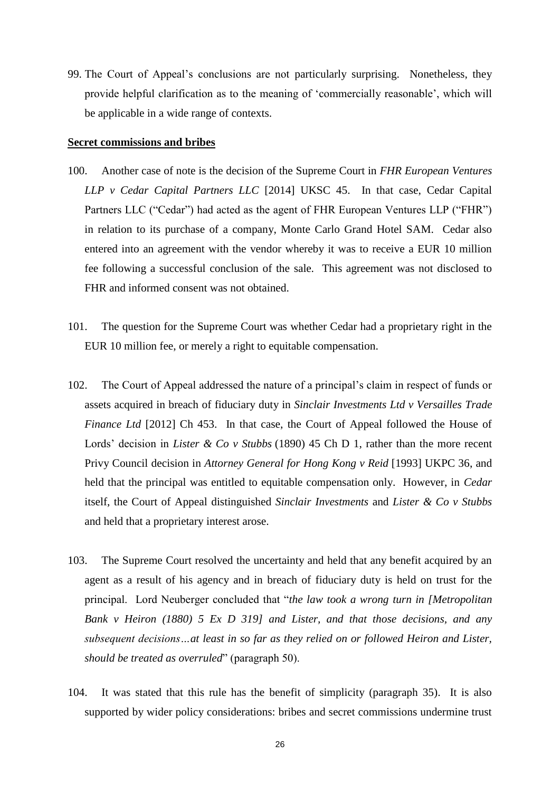99. The Court of Appeal"s conclusions are not particularly surprising. Nonetheless, they provide helpful clarification as to the meaning of "commercially reasonable", which will be applicable in a wide range of contexts.

#### **Secret commissions and bribes**

- 100. Another case of note is the decision of the Supreme Court in *FHR European Ventures LLP v Cedar Capital Partners LLC* [2014] UKSC 45. In that case, Cedar Capital Partners LLC ("Cedar") had acted as the agent of FHR European Ventures LLP ("FHR") in relation to its purchase of a company, Monte Carlo Grand Hotel SAM. Cedar also entered into an agreement with the vendor whereby it was to receive a EUR 10 million fee following a successful conclusion of the sale. This agreement was not disclosed to FHR and informed consent was not obtained.
- 101. The question for the Supreme Court was whether Cedar had a proprietary right in the EUR 10 million fee, or merely a right to equitable compensation.
- 102. The Court of Appeal addressed the nature of a principal"s claim in respect of funds or assets acquired in breach of fiduciary duty in *Sinclair Investments Ltd v Versailles Trade Finance Ltd* [2012] Ch 453. In that case, the Court of Appeal followed the House of Lords' decision in *Lister & Co v Stubbs* (1890) 45 Ch D 1, rather than the more recent Privy Council decision in *Attorney General for Hong Kong v Reid* [1993] UKPC 36, and held that the principal was entitled to equitable compensation only. However, in *Cedar*  itself, the Court of Appeal distinguished *Sinclair Investments* and *Lister & Co v Stubbs* and held that a proprietary interest arose.
- 103. The Supreme Court resolved the uncertainty and held that any benefit acquired by an agent as a result of his agency and in breach of fiduciary duty is held on trust for the principal. Lord Neuberger concluded that "*the law took a wrong turn in [Metropolitan Bank v Heiron (1880) 5 Ex D 319] and Lister, and that those decisions, and any subsequent decisions…at least in so far as they relied on or followed Heiron and Lister, should be treated as overruled*" (paragraph 50).
- 104. It was stated that this rule has the benefit of simplicity (paragraph 35). It is also supported by wider policy considerations: bribes and secret commissions undermine trust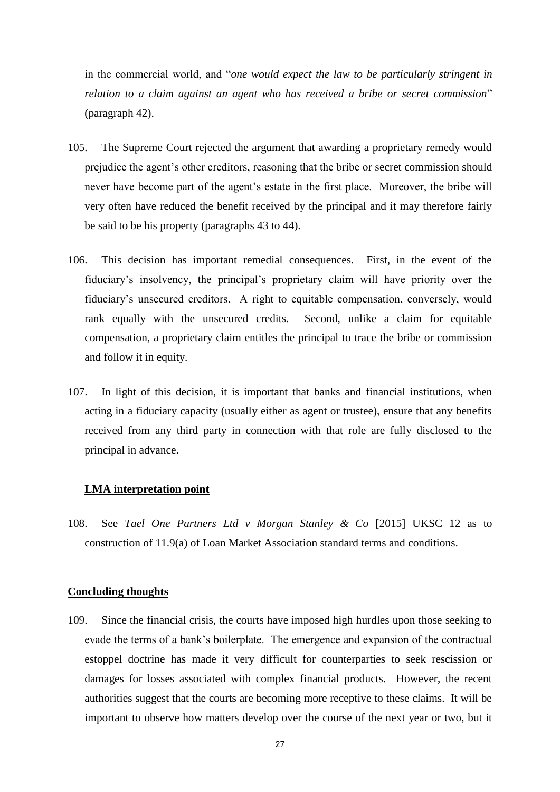in the commercial world, and "*one would expect the law to be particularly stringent in relation to a claim against an agent who has received a bribe or secret commission*" (paragraph 42).

- 105. The Supreme Court rejected the argument that awarding a proprietary remedy would prejudice the agent"s other creditors, reasoning that the bribe or secret commission should never have become part of the agent's estate in the first place. Moreover, the bribe will very often have reduced the benefit received by the principal and it may therefore fairly be said to be his property (paragraphs 43 to 44).
- 106. This decision has important remedial consequences. First, in the event of the fiduciary's insolvency, the principal's proprietary claim will have priority over the fiduciary"s unsecured creditors. A right to equitable compensation, conversely, would rank equally with the unsecured credits. Second, unlike a claim for equitable compensation, a proprietary claim entitles the principal to trace the bribe or commission and follow it in equity.
- 107. In light of this decision, it is important that banks and financial institutions, when acting in a fiduciary capacity (usually either as agent or trustee), ensure that any benefits received from any third party in connection with that role are fully disclosed to the principal in advance.

#### **LMA interpretation point**

108. See *Tael One Partners Ltd v Morgan Stanley & Co* [2015] UKSC 12 as to construction of 11.9(a) of Loan Market Association standard terms and conditions.

#### **Concluding thoughts**

109. Since the financial crisis, the courts have imposed high hurdles upon those seeking to evade the terms of a bank"s boilerplate. The emergence and expansion of the contractual estoppel doctrine has made it very difficult for counterparties to seek rescission or damages for losses associated with complex financial products. However, the recent authorities suggest that the courts are becoming more receptive to these claims. It will be important to observe how matters develop over the course of the next year or two, but it